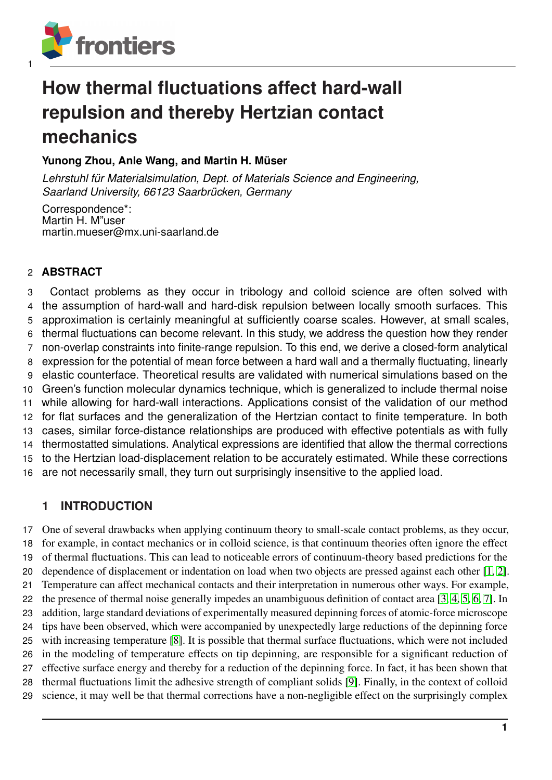

# **How thermal fluctuations affect hard-wall repulsion and thereby Hertzian contact mechanics**

# **Yunong Zhou, Anle Wang, and Martin H. Müser**

Lehrstuhl für Materialsimulation, Dept. of Materials Science and Engineering, *Saarland University, 66123 Saarbrucken, Germany ¨*

Correspondence\*: Martin H. M"user martin.mueser@mx.uni-saarland.de

# **ABSTRACT**

 Contact problems as they occur in tribology and colloid science are often solved with the assumption of hard-wall and hard-disk repulsion between locally smooth surfaces. This approximation is certainly meaningful at sufficiently coarse scales. However, at small scales, thermal fluctuations can become relevant. In this study, we address the question how they render non-overlap constraints into finite-range repulsion. To this end, we derive a closed-form analytical expression for the potential of mean force between a hard wall and a thermally fluctuating, linearly elastic counterface. Theoretical results are validated with numerical simulations based on the Green's function molecular dynamics technique, which is generalized to include thermal noise while allowing for hard-wall interactions. Applications consist of the validation of our method for flat surfaces and the generalization of the Hertzian contact to finite temperature. In both cases, similar force-distance relationships are produced with effective potentials as with fully thermostatted simulations. Analytical expressions are identified that allow the thermal corrections to the Hertzian load-displacement relation to be accurately estimated. While these corrections are not necessarily small, they turn out surprisingly insensitive to the applied load.

# **1 INTRODUCTION**

 One of several drawbacks when applying continuum theory to small-scale contact problems, as they occur, for example, in contact mechanics or in colloid science, is that continuum theories often ignore the effect of thermal fluctuations. This can lead to noticeable errors of continuum-theory based predictions for the dependence of displacement or indentation on load when two objects are pressed against each other [\[1,](#page-22-0) [2\]](#page-22-1). Temperature can affect mechanical contacts and their interpretation in numerous other ways. For example, the presence of thermal noise generally impedes an unambiguous definition of contact area [\[3,](#page-22-2) [4,](#page-22-3) [5,](#page-22-4) [6,](#page-23-0) [7\]](#page-23-1). In addition, large standard deviations of experimentally measured depinning forces of atomic-force microscope tips have been observed, which were accompanied by unexpectedly large reductions of the depinning force with increasing temperature [\[8\]](#page-23-2). It is possible that thermal surface fluctuations, which were not included in the modeling of temperature effects on tip depinning, are responsible for a significant reduction of effective surface energy and thereby for a reduction of the depinning force. In fact, it has been shown that thermal fluctuations limit the adhesive strength of compliant solids [\[9\]](#page-23-3). Finally, in the context of colloid science, it may well be that thermal corrections have a non-negligible effect on the surprisingly complex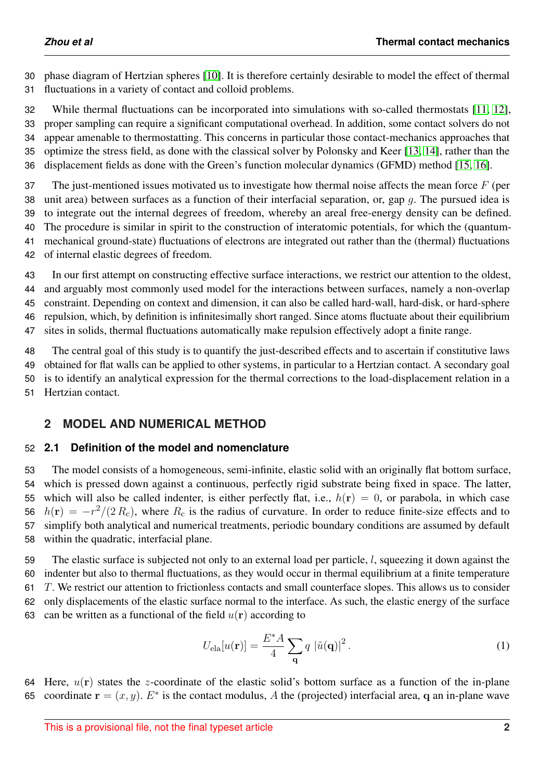phase diagram of Hertzian spheres [\[10\]](#page-23-4). It is therefore certainly desirable to model the effect of thermal fluctuations in a variety of contact and colloid problems.

 While thermal fluctuations can be incorporated into simulations with so-called thermostats [\[11,](#page-23-5) [12\]](#page-23-6), proper sampling can require a significant computational overhead. In addition, some contact solvers do not appear amenable to thermostatting. This concerns in particular those contact-mechanics approaches that optimize the stress field, as done with the classical solver by Polonsky and Keer [\[13,](#page-23-7) [14\]](#page-23-8), rather than the displacement fields as done with the Green's function molecular dynamics (GFMD) method [\[15,](#page-23-9) [16\]](#page-23-10).

37 The just-mentioned issues motivated us to investigate how thermal noise affects the mean force  $F$  (per 38 unit area) between surfaces as a function of their interfacial separation, or, gap  $q$ . The pursued idea is to integrate out the internal degrees of freedom, whereby an areal free-energy density can be defined. The procedure is similar in spirit to the construction of interatomic potentials, for which the (quantum- mechanical ground-state) fluctuations of electrons are integrated out rather than the (thermal) fluctuations of internal elastic degrees of freedom.

 In our first attempt on constructing effective surface interactions, we restrict our attention to the oldest, and arguably most commonly used model for the interactions between surfaces, namely a non-overlap constraint. Depending on context and dimension, it can also be called hard-wall, hard-disk, or hard-sphere repulsion, which, by definition is infinitesimally short ranged. Since atoms fluctuate about their equilibrium sites in solids, thermal fluctuations automatically make repulsion effectively adopt a finite range.

 The central goal of this study is to quantify the just-described effects and to ascertain if constitutive laws obtained for flat walls can be applied to other systems, in particular to a Hertzian contact. A secondary goal is to identify an analytical expression for the thermal corrections to the load-displacement relation in a Hertzian contact.

# <span id="page-1-0"></span>**2 MODEL AND NUMERICAL METHOD**

# **2.1 Definition of the model and nomenclature**

 The model consists of a homogeneous, semi-infinite, elastic solid with an originally flat bottom surface, which is pressed down against a continuous, perfectly rigid substrate being fixed in space. The latter, 55 which will also be called indenter, is either perfectly flat, i.e.,  $h(r) = 0$ , or parabola, in which case  $h(\mathbf{r}) = -r^2/(2R_c)$ , where  $R_c$  is the radius of curvature. In order to reduce finite-size effects and to simplify both analytical and numerical treatments, periodic boundary conditions are assumed by default within the quadratic, interfacial plane.

 The elastic surface is subjected not only to an external load per particle, l, squeezing it down against the indenter but also to thermal fluctuations, as they would occur in thermal equilibrium at a finite temperature T. We restrict our attention to frictionless contacts and small counterface slopes. This allows us to consider only displacements of the elastic surface normal to the interface. As such, the elastic energy of the surface 63 can be written as a functional of the field  $u(\mathbf{r})$  according to

$$
U_{\text{ela}}[u(\mathbf{r})] = \frac{E^*A}{4} \sum_{\mathbf{q}} q |\tilde{u}(\mathbf{q})|^2.
$$
 (1)

64 Here,  $u(\mathbf{r})$  states the z-coordinate of the elastic solid's bottom surface as a function of the in-plane 65 coordinate  $\mathbf{r} = (x, y)$ .  $E^*$  is the contact modulus, A the (projected) interfacial area, q an in-plane wave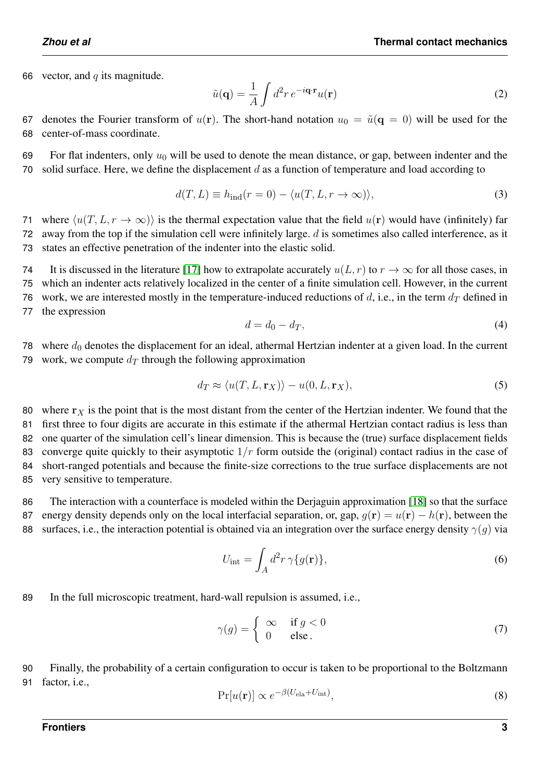66 vector, and  $q$  its magnitude.

$$
\tilde{u}(\mathbf{q}) = \frac{1}{A} \int d^2 r \, e^{-i\mathbf{q} \cdot \mathbf{r}} u(\mathbf{r}) \tag{2}
$$

67 denotes the Fourier transform of  $u(\mathbf{r})$ . The short-hand notation  $u_0 = \tilde{u}(\mathbf{q} = 0)$  will be used for the 68 center-of-mass coordinate.

69 For flat indenters, only  $u_0$  will be used to denote the mean distance, or gap, between indenter and the 70 solid surface. Here, we define the displacement  $d$  as a function of temperature and load according to

$$
d(T, L) \equiv h_{\text{ind}}(r = 0) - \langle u(T, L, r \to \infty) \rangle,
$$
\n(3)

71 where  $\langle u(T, L, r \to \infty) \rangle$  is the thermal expectation value that the field  $u(\mathbf{r})$  would have (infinitely) far 72 away from the top if the simulation cell were infinitely large.  $d$  is sometimes also called interference, as it 73 states an effective penetration of the indenter into the elastic solid.

74 It is discussed in the literature [\[17\]](#page-23-11) how to extrapolate accurately  $u(L, r)$  to  $r \to \infty$  for all those cases, in 75 which an indenter acts relatively localized in the center of a finite simulation cell. However, in the current 76 work, we are interested mostly in the temperature-induced reductions of  $d$ , i.e., in the term  $d_T$  defined in

77 the expression

$$
d = d_0 - d_T,\t\t(4)
$$

78 where  $d_0$  denotes the displacement for an ideal, athermal Hertzian indenter at a given load. In the current 79 work, we compute  $d_T$  through the following approximation

$$
d_T \approx \langle u(T, L, \mathbf{r}_X) \rangle - u(0, L, \mathbf{r}_X), \tag{5}
$$

80 where  $r<sub>X</sub>$  is the point that is the most distant from the center of the Hertzian indenter. We found that the first three to four digits are accurate in this estimate if the athermal Hertzian contact radius is less than one quarter of the simulation cell's linear dimension. This is because the (true) surface displacement fields 83 converge quite quickly to their asymptotic  $1/r$  form outside the (original) contact radius in the case of short-ranged potentials and because the finite-size corrections to the true surface displacements are not very sensitive to temperature.

86 The interaction with a counterface is modeled within the Derjaguin approximation [\[18\]](#page-23-12) so that the surface 87 energy density depends only on the local interfacial separation, or, gap,  $q(\mathbf{r}) = u(\mathbf{r}) - h(\mathbf{r})$ , between the 88 surfaces, i.e., the interaction potential is obtained via an integration over the surface energy density  $\gamma(q)$  via

$$
U_{\rm int} = \int_A d^2r \,\gamma \{g(\mathbf{r})\},\tag{6}
$$

89 In the full microscopic treatment, hard-wall repulsion is assumed, i.e.,

$$
\gamma(g) = \begin{cases} \infty & \text{if } g < 0 \\ 0 & \text{else.} \end{cases}
$$
 (7)

90 Finally, the probability of a certain configuration to occur is taken to be proportional to the Boltzmann 91 factor, i.e.,

$$
\Pr[u(\mathbf{r})] \propto e^{-\beta(U_{\text{ela}} + U_{\text{int}})},\tag{8}
$$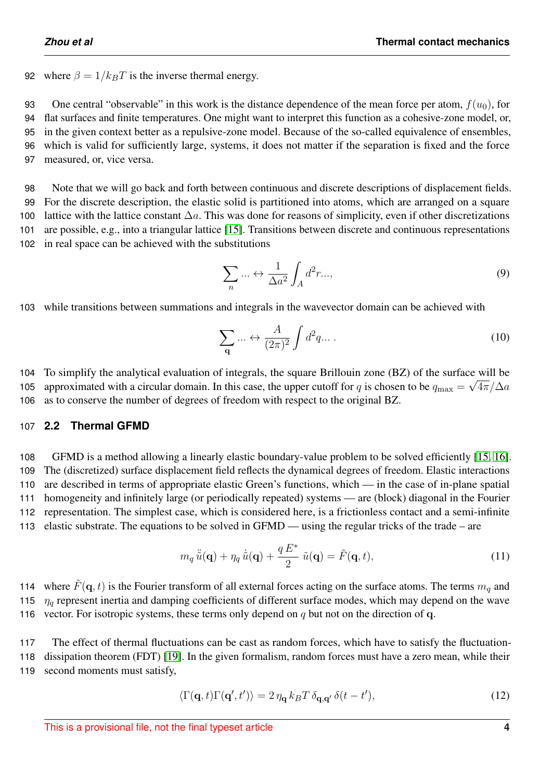92 where  $\beta = 1/k_BT$  is the inverse thermal energy.

93 One central "observable" in this work is the distance dependence of the mean force per atom,  $f(u_0)$ , for

 flat surfaces and finite temperatures. One might want to interpret this function as a cohesive-zone model, or, in the given context better as a repulsive-zone model. Because of the so-called equivalence of ensembles, which is valid for sufficiently large, systems, it does not matter if the separation is fixed and the force measured, or, vice versa.

 Note that we will go back and forth between continuous and discrete descriptions of displacement fields. For the discrete description, the elastic solid is partitioned into atoms, which are arranged on a square 100 lattice with the lattice constant  $\Delta a$ . This was done for reasons of simplicity, even if other discretizations are possible, e.g., into a triangular lattice [\[15\]](#page-23-9). Transitions between discrete and continuous representations in real space can be achieved with the substitutions

$$
\sum_{n} \dots \leftrightarrow \frac{1}{\Delta a^2} \int_A d^2 r \dots,
$$
\n(9)

103 while transitions between summations and integrals in the wavevector domain can be achieved with

$$
\sum_{\mathbf{q}} \dots \leftrightarrow \frac{A}{(2\pi)^2} \int d^2 q \dots \tag{10}
$$

104 To simplify the analytical evaluation of integrals, the square Brillouin zone (BZ) of the surface will be 105 approximated with a circular domain. In this case, the upper cutoff for q is chosen to be  $q_{\rm max} = \sqrt{4\pi/\Delta a}$ 106 as to conserve the number of degrees of freedom with respect to the original BZ.

## 107 **2.2 Thermal GFMD**

 GFMD is a method allowing a linearly elastic boundary-value problem to be solved efficiently [\[15,](#page-23-9) [16\]](#page-23-10). The (discretized) surface displacement field reflects the dynamical degrees of freedom. Elastic interactions are described in terms of appropriate elastic Green's functions, which — in the case of in-plane spatial homogeneity and infinitely large (or periodically repeated) systems — are (block) diagonal in the Fourier representation. The simplest case, which is considered here, is a frictionless contact and a semi-infinite elastic substrate. The equations to be solved in GFMD — using the regular tricks of the trade – are

$$
m_q\ddot{\tilde{u}}(\mathbf{q}) + \eta_q\dot{\tilde{u}}(\mathbf{q}) + \frac{q E^*}{2} \tilde{u}(\mathbf{q}) = \tilde{F}(\mathbf{q}, t), \qquad (11)
$$

114 where  $\tilde{F}(\mathbf{q}, t)$  is the Fourier transform of all external forces acting on the surface atoms. The terms  $m_q$  and 115  $\eta_q$  represent inertia and damping coefficients of different surface modes, which may depend on the wave 116 vector. For isotropic systems, these terms only depend on  $q$  but not on the direction of q.

117 The effect of thermal fluctuations can be cast as random forces, which have to satisfy the fluctuation-118 dissipation theorem (FDT) [\[19\]](#page-23-13). In the given formalism, random forces must have a zero mean, while their 119 second moments must satisfy,

$$
\langle \Gamma(\mathbf{q},t)\Gamma(\mathbf{q}',t')\rangle = 2\,\eta_{\mathbf{q}}\,k_B T \,\delta_{\mathbf{q},\mathbf{q}'}\,\delta(t-t'),\tag{12}
$$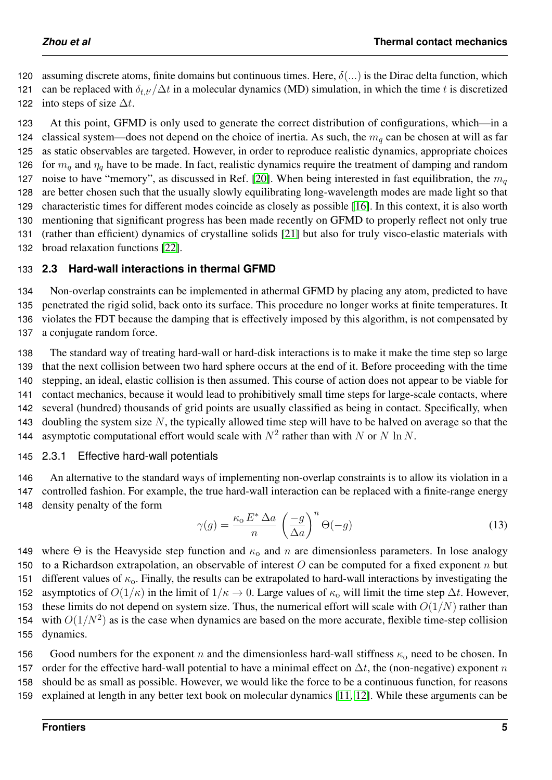120 assuming discrete atoms, finite domains but continuous times. Here,  $\delta(...)$  is the Dirac delta function, which 121 can be replaced with  $\delta_{tt}/\Delta t$  in a molecular dynamics (MD) simulation, in which the time t is discretized

122 into steps of size  $\Delta t$ .

123 At this point, GFMD is only used to generate the correct distribution of configurations, which—in a 124 classical system—does not depend on the choice of inertia. As such, the  $m_q$  can be chosen at will as far 125 as static observables are targeted. However, in order to reproduce realistic dynamics, appropriate choices 126 for  $m_q$  and  $\eta_q$  have to be made. In fact, realistic dynamics require the treatment of damping and random 127 noise to have "memory", as discussed in Ref. [\[20\]](#page-23-14). When being interested in fast equilibration, the  $m_q$ 128 are better chosen such that the usually slowly equilibrating long-wavelength modes are made light so that 129 characteristic times for different modes coincide as closely as possible [\[16\]](#page-23-10). In this context, it is also worth 130 mentioning that significant progress has been made recently on GFMD to properly reflect not only true 131 (rather than efficient) dynamics of crystalline solids [\[21\]](#page-23-15) but also for truly visco-elastic materials with 132 broad relaxation functions [\[22\]](#page-23-16).

# 133 **2.3 Hard-wall interactions in thermal GFMD**

 Non-overlap constraints can be implemented in athermal GFMD by placing any atom, predicted to have penetrated the rigid solid, back onto its surface. This procedure no longer works at finite temperatures. It violates the FDT because the damping that is effectively imposed by this algorithm, is not compensated by a conjugate random force.

 The standard way of treating hard-wall or hard-disk interactions is to make it make the time step so large that the next collision between two hard sphere occurs at the end of it. Before proceeding with the time stepping, an ideal, elastic collision is then assumed. This course of action does not appear to be viable for contact mechanics, because it would lead to prohibitively small time steps for large-scale contacts, where several (hundred) thousands of grid points are usually classified as being in contact. Specifically, when 143 doubling the system size  $N$ , the typically allowed time step will have to be halved on average so that the 144 asymptotic computational effort would scale with  $N^2$  rather than with N or N ln N.

## 145 2.3.1 Effective hard-wall potentials

146 An alternative to the standard ways of implementing non-overlap constraints is to allow its violation in a 147 controlled fashion. For example, the true hard-wall interaction can be replaced with a finite-range energy 148 density penalty of the form

$$
\gamma(g) = \frac{\kappa_0 E^* \Delta a}{n} \left(\frac{-g}{\Delta a}\right)^n \Theta(-g)
$$
\n(13)

149 where  $\Theta$  is the Heavyside step function and  $\kappa_0$  and n are dimensionless parameters. In lose analogy 150 to a Richardson extrapolation, an observable of interest  $O$  can be computed for a fixed exponent n but 151 different values of  $\kappa_0$ . Finally, the results can be extrapolated to hard-wall interactions by investigating the 152 asymptotics of  $O(1/\kappa)$  in the limit of  $1/\kappa \to 0$ . Large values of  $\kappa_0$  will limit the time step  $\Delta t$ . However, 153 these limits do not depend on system size. Thus, the numerical effort will scale with  $O(1/N)$  rather than 154 with  $O(1/N^2)$  as is the case when dynamics are based on the more accurate, flexible time-step collision 155 dynamics.

156 Good numbers for the exponent n and the dimensionless hard-wall stiffness  $\kappa_0$  need to be chosen. In 157 order for the effective hard-wall potential to have a minimal effect on  $\Delta t$ , the (non-negative) exponent n 158 should be as small as possible. However, we would like the force to be a continuous function, for reasons 159 explained at length in any better text book on molecular dynamics [\[11,](#page-23-5) [12\]](#page-23-6). While these arguments can be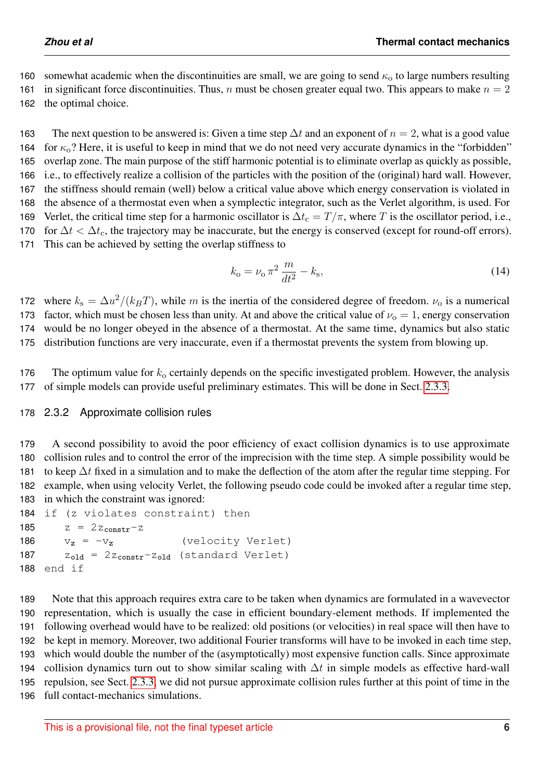160 somewhat academic when the discontinuities are small, we are going to send  $\kappa_0$  to large numbers resulting 161 in significant force discontinuities. Thus, n must be chosen greater equal two. This appears to make  $n = 2$ 162 the optimal choice.

163 The next question to be answered is: Given a time step  $\Delta t$  and an exponent of  $n = 2$ , what is a good value 164 for  $\kappa_0$ ? Here, it is useful to keep in mind that we do not need very accurate dynamics in the "forbidden" 165 overlap zone. The main purpose of the stiff harmonic potential is to eliminate overlap as quickly as possible, 166 i.e., to effectively realize a collision of the particles with the position of the (original) hard wall. However, 167 the stiffness should remain (well) below a critical value above which energy conservation is violated in 168 the absence of a thermostat even when a symplectic integrator, such as the Verlet algorithm, is used. For 169 Verlet, the critical time step for a harmonic oscillator is  $\Delta t_c = T/\pi$ , where T is the oscillator period, i.e., 170 for  $\Delta t < \Delta t_c$ , the trajectory may be inaccurate, but the energy is conserved (except for round-off errors). 171 This can be achieved by setting the overlap stiffness to

<span id="page-5-0"></span>
$$
k_o = \nu_o \pi^2 \frac{m}{dt^2} - k_s,
$$
\t(14)

172 where  $k_s = \Delta u^2/(k_B T)$ , while m is the inertia of the considered degree of freedom.  $\nu_o$  is a numerical 173 factor, which must be chosen less than unity. At and above the critical value of  $\nu_0 = 1$ , energy conservation 174 would be no longer obeyed in the absence of a thermostat. At the same time, dynamics but also static 175 distribution functions are very inaccurate, even if a thermostat prevents the system from blowing up.

176 The optimum value for  $k_0$  certainly depends on the specific investigated problem. However, the analysis 177 of simple models can provide useful preliminary estimates. This will be done in Sect. [2.3.3.](#page-6-0)

## 178 2.3.2 Approximate collision rules

 A second possibility to avoid the poor efficiency of exact collision dynamics is to use approximate collision rules and to control the error of the imprecision with the time step. A simple possibility would be 181 to keep  $\Delta t$  fixed in a simulation and to make the deflection of the atom after the regular time stepping. For example, when using velocity Verlet, the following pseudo code could be invoked after a regular time step, in which the constraint was ignored:

```
184 if (z violates constraint) then
185 z = 2z_{constr} - z186 v_z = -v_z (velocity Verlet)
187 z_{old} = 2z_{constr} - z_{old} (standard Verlet)
188 end if
```
 Note that this approach requires extra care to be taken when dynamics are formulated in a wavevector representation, which is usually the case in efficient boundary-element methods. If implemented the following overhead would have to be realized: old positions (or velocities) in real space will then have to be kept in memory. Moreover, two additional Fourier transforms will have to be invoked in each time step, which would double the number of the (asymptotically) most expensive function calls. Since approximate 194 collision dynamics turn out to show similar scaling with  $\Delta t$  in simple models as effective hard-wall repulsion, see Sect. [2.3.3,](#page-6-0) we did not pursue approximate collision rules further at this point of time in the full contact-mechanics simulations.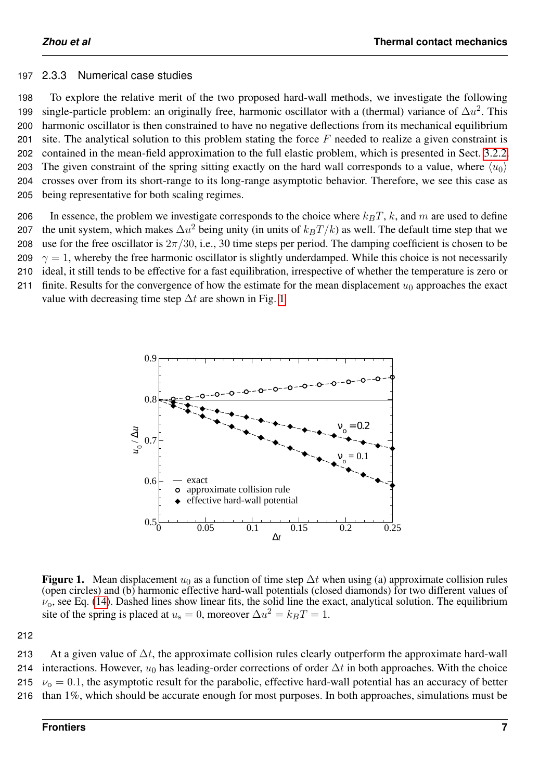#### <span id="page-6-0"></span>197 2.3.3 Numerical case studies

 To explore the relative merit of the two proposed hard-wall methods, we investigate the following 199 single-particle problem: an originally free, harmonic oscillator with a (thermal) variance of  $\Delta u^2$ . This harmonic oscillator is then constrained to have no negative deflections from its mechanical equilibrium 201 site. The analytical solution to this problem stating the force  $F$  needed to realize a given constraint is contained in the mean-field approximation to the full elastic problem, which is presented in Sect. [3.2.2.](#page-11-0) 203 The given constraint of the spring sitting exactly on the hard wall corresponds to a value, where  $\langle u_0 \rangle$  crosses over from its short-range to its long-range asymptotic behavior. Therefore, we see this case as being representative for both scaling regimes.

206 In essence, the problem we investigate corresponds to the choice where  $k_BT$ , k, and m are used to define 207 the unit system, which makes  $\Delta u^2$  being unity (in units of  $k_B T/k$ ) as well. The default time step that we 208 use for the free oscillator is  $2\pi/30$ , i.e., 30 time steps per period. The damping coefficient is chosen to be

209  $\gamma = 1$ , whereby the free harmonic oscillator is slightly underdamped. While this choice is not necessarily

210 ideal, it still tends to be effective for a fast equilibration, irrespective of whether the temperature is zero or

<span id="page-6-1"></span>211 finite. Results for the convergence of how the estimate for the mean displacement  $u_0$  approaches the exact value with decreasing time step  $\Delta t$  are shown in Fig. [1](#page-6-1)



Figure 1. Mean displacement  $u_0$  as a function of time step  $\Delta t$  when using (a) approximate collision rules (open circles) and (b) harmonic effective hard-wall potentials (closed diamonds) for two different values of  $\nu_{0}$ , see Eq. [\(14\)](#page-5-0). Dashed lines show linear fits, the solid line the exact, analytical solution. The equilibrium site of the spring is placed at  $u_s = 0$ , moreover  $\Delta u^2 = k_B T = 1$ .

212

213 At a given value of  $\Delta t$ , the approximate collision rules clearly outperform the approximate hard-wall 214 interactions. However,  $u_0$  has leading-order corrections of order  $\Delta t$  in both approaches. With the choice 215  $v_0 = 0.1$ , the asymptotic result for the parabolic, effective hard-wall potential has an accuracy of better 216 than 1%, which should be accurate enough for most purposes. In both approaches, simulations must be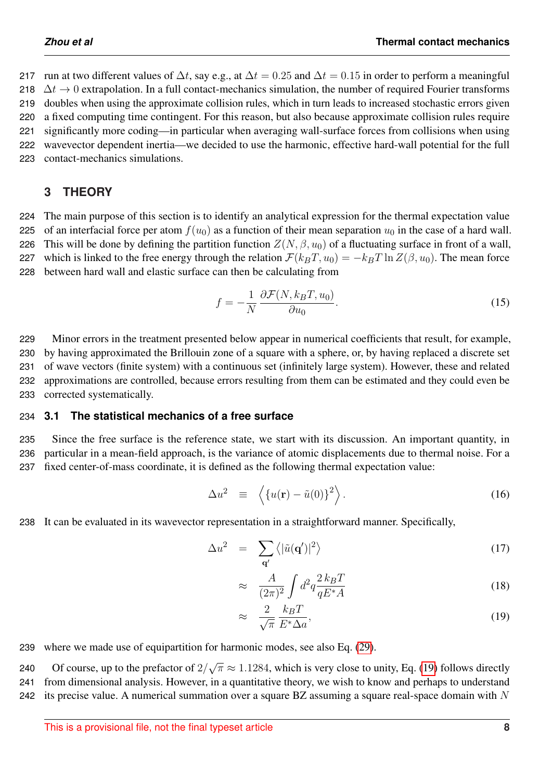217 run at two different values of  $\Delta t$ , say e.g., at  $\Delta t = 0.25$  and  $\Delta t = 0.15$  in order to perform a meaningful  $\Delta t \rightarrow 0$  extrapolation. In a full contact-mechanics simulation, the number of required Fourier transforms doubles when using the approximate collision rules, which in turn leads to increased stochastic errors given a fixed computing time contingent. For this reason, but also because approximate collision rules require significantly more coding—in particular when averaging wall-surface forces from collisions when using wavevector dependent inertia—we decided to use the harmonic, effective hard-wall potential for the full contact-mechanics simulations.

# <span id="page-7-2"></span>**3 THEORY**

224 The main purpose of this section is to identify an analytical expression for the thermal expectation value 225 of an interfacial force per atom  $f(u_0)$  as a function of their mean separation  $u_0$  in the case of a hard wall. 226 This will be done by defining the partition function  $Z(N, \beta, u_0)$  of a fluctuating surface in front of a wall, 227 which is linked to the free energy through the relation  $\mathcal{F}(k_BT, u_0) = -k_BT \ln Z(\beta, u_0)$ . The mean force 228 between hard wall and elastic surface can then be calculating from

$$
f = -\frac{1}{N} \frac{\partial \mathcal{F}(N, k_B T, u_0)}{\partial u_0}.
$$
 (15)

 Minor errors in the treatment presented below appear in numerical coefficients that result, for example, by having approximated the Brillouin zone of a square with a sphere, or, by having replaced a discrete set of wave vectors (finite system) with a continuous set (infinitely large system). However, these and related approximations are controlled, because errors resulting from them can be estimated and they could even be corrected systematically.

## <span id="page-7-1"></span>234 **3.1 The statistical mechanics of a free surface**

235 Since the free surface is the reference state, we start with its discussion. An important quantity, in 236 particular in a mean-field approach, is the variance of atomic displacements due to thermal noise. For a 237 fixed center-of-mass coordinate, it is defined as the following thermal expectation value:

$$
\Delta u^2 \equiv \left\langle \{ u(\mathbf{r}) - \tilde{u}(0) \}^2 \right\rangle. \tag{16}
$$

238 It can be evaluated in its wavevector representation in a straightforward manner. Specifically,

<span id="page-7-0"></span>
$$
\Delta u^2 = \sum_{\mathbf{q}'} \langle |\tilde{u}(\mathbf{q}')|^2 \rangle \tag{17}
$$

$$
\approx \quad \frac{A}{(2\pi)^2} \int d^2q \frac{2 k_B T}{q E^* A} \tag{18}
$$

$$
\approx \frac{2}{\sqrt{\pi}} \frac{k_B T}{E^* \Delta a},\tag{19}
$$

239 where we made use of equipartition for harmonic modes, see also Eq. [\(29\)](#page-10-0).

Of course, up to the prefactor of  $2/$ √ 240 The Course, up to the prefactor of  $2/\sqrt{\pi} \approx 1.1284$ , which is very close to unity, Eq. [\(19\)](#page-7-0) follows directly 241 from dimensional analysis. However, in a quantitative theory, we wish to know and perhaps to understand 242 its precise value. A numerical summation over a square BZ assuming a square real-space domain with N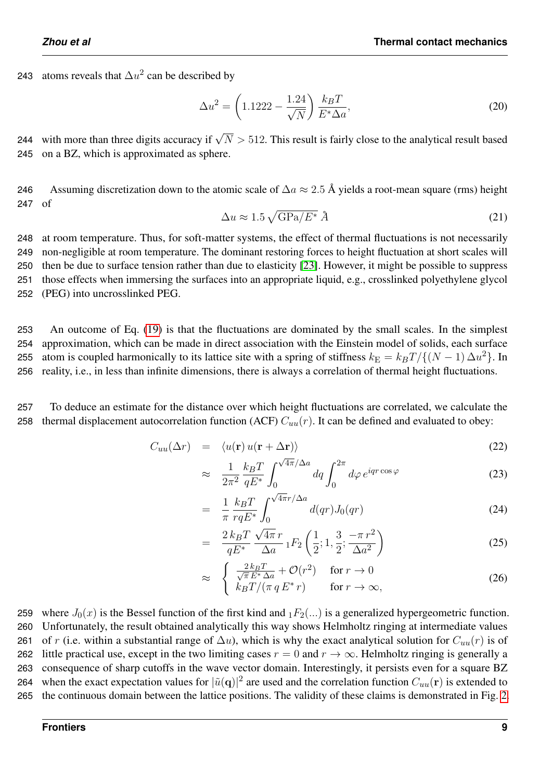243 atoms reveals that  $\Delta u^2$  can be described by

$$
\Delta u^2 = \left(1.1222 - \frac{1.24}{\sqrt{N}}\right) \frac{k_B T}{E^* \Delta a},\tag{20}
$$

244 with more than three digits accuracy if  $\sqrt{N} > 512$ . This result is fairly close to the analytical result based 245 on a BZ, which is approximated as sphere.

246 Assuming discretization down to the atomic scale of  $\Delta a \approx 2.5$  Å yields a root-mean square (rms) height 247 of

$$
\Delta u \approx 1.5 \sqrt{\text{GPa}/E^*} \,\,\text{\AA} \tag{21}
$$

 at room temperature. Thus, for soft-matter systems, the effect of thermal fluctuations is not necessarily non-negligible at room temperature. The dominant restoring forces to height fluctuation at short scales will then be due to surface tension rather than due to elasticity [\[23\]](#page-23-17). However, it might be possible to suppress those effects when immersing the surfaces into an appropriate liquid, e.g., crosslinked polyethylene glycol (PEG) into uncrosslinked PEG.

 An outcome of Eq. [\(19\)](#page-7-0) is that the fluctuations are dominated by the small scales. In the simplest approximation, which can be made in direct association with the Einstein model of solids, each surface 255 atom is coupled harmonically to its lattice site with a spring of stiffness  $k_E = k_B T / \{(N-1) \Delta u^2\}$ . In reality, i.e., in less than infinite dimensions, there is always a correlation of thermal height fluctuations.

257 To deduce an estimate for the distance over which height fluctuations are correlated, we calculate the 258 thermal displacement autocorrelation function (ACF)  $C_{uu}(r)$ . It can be defined and evaluated to obey:

<span id="page-8-0"></span>
$$
C_{uu}(\Delta r) = \langle u(\mathbf{r}) u(\mathbf{r} + \Delta \mathbf{r}) \rangle \tag{22}
$$

$$
\approx \frac{1}{2\pi^2} \frac{k_B T}{q E^*} \int_0^{\sqrt{4\pi/\Delta a}} dq \int_0^{2\pi} d\varphi \, e^{iqr \cos \varphi} \tag{23}
$$

$$
= \frac{1}{\pi} \frac{k_B T}{r q E^*} \int_0^{\sqrt{4\pi} r/\Delta a} d(qr) J_0(qr) \tag{24}
$$

$$
= \frac{2 k_B T}{q E^*} \frac{\sqrt{4\pi} r}{\Delta a} {}_1F_2\left(\frac{1}{2}; 1, \frac{3}{2}; \frac{-\pi r^2}{\Delta a^2}\right)
$$
 (25)

$$
\approx \begin{cases} \frac{2 k_B T}{\sqrt{\pi} E^* \Delta a} + \mathcal{O}(r^2) & \text{for } r \to 0\\ k_B T / (\pi q E^* r) & \text{for } r \to \infty, \end{cases}
$$
 (26)

259 where  $J_0(x)$  is the Bessel function of the first kind and  $_1F_2(...)$  is a generalized hypergeometric function. 260 Unfortunately, the result obtained analytically this way shows Helmholtz ringing at intermediate values 261 of r (i.e. within a substantial range of  $\Delta u$ ), which is why the exact analytical solution for  $C_{uu}(r)$  is of 262 little practical use, except in the two limiting cases  $r = 0$  and  $r \to \infty$ . Helmholtz ringing is generally a 263 consequence of sharp cutoffs in the wave vector domain. Interestingly, it persists even for a square BZ 264 when the exact expectation values for  $|\tilde{u}(\mathbf{q})|^2$  are used and the correlation function  $C_{uu}(\mathbf{r})$  is extended to 265 the continuous domain between the lattice positions. The validity of these claims is demonstrated in Fig. [2.](#page-9-0)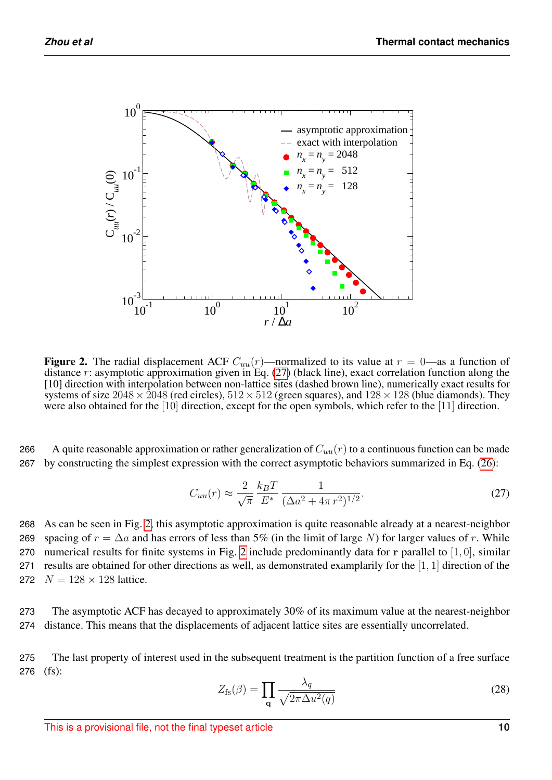<span id="page-9-0"></span>

Figure 2. The radial displacement ACF  $C_{uu}(r)$ —normalized to its value at  $r = 0$ —as a function of distance r: asymptotic approximation given in Eq.  $(27)$  (black line), exact correlation function along the [10] direction with interpolation between non-lattice sites (dashed brown line), numerically exact results for systems of size  $2048 \times 2048$  (red circles),  $512 \times 512$  (green squares), and  $128 \times 128$  (blue diamonds). They were also obtained for the [10] direction, except for the open symbols, which refer to the [11] direction.

266 A quite reasonable approximation or rather generalization of  $C_{uu}(r)$  to a continuous function can be made 267 by constructing the simplest expression with the correct asymptotic behaviors summarized in Eq. [\(26\)](#page-8-0):

<span id="page-9-1"></span>
$$
C_{uu}(r) \approx \frac{2}{\sqrt{\pi}} \frac{k_B T}{E^*} \frac{1}{(\Delta a^2 + 4\pi r^2)^{1/2}}.
$$
 (27)

268 As can be seen in Fig. [2,](#page-9-0) this asymptotic approximation is quite reasonable already at a nearest-neighbor 269 spacing of  $r = \Delta a$  and has errors of less than 5% (in the limit of large N) for larger values of r. While 270 numerical results for finite systems in Fig. [2](#page-9-0) include predominantly data for r parallel to  $[1, 0]$ , similar 271 results are obtained for other directions as well, as demonstrated examplarily for the [1, 1] direction of the 272  $N = 128 \times 128$  lattice.

273 The asymptotic ACF has decayed to approximately 30% of its maximum value at the nearest-neighbor 274 distance. This means that the displacements of adjacent lattice sites are essentially uncorrelated.

275 The last property of interest used in the subsequent treatment is the partition function of a free surface 276 (fs):

$$
Z_{\rm fs}(\beta) = \prod_{\mathbf{q}} \frac{\lambda_q}{\sqrt{2\pi \Delta u^2(q)}}\tag{28}
$$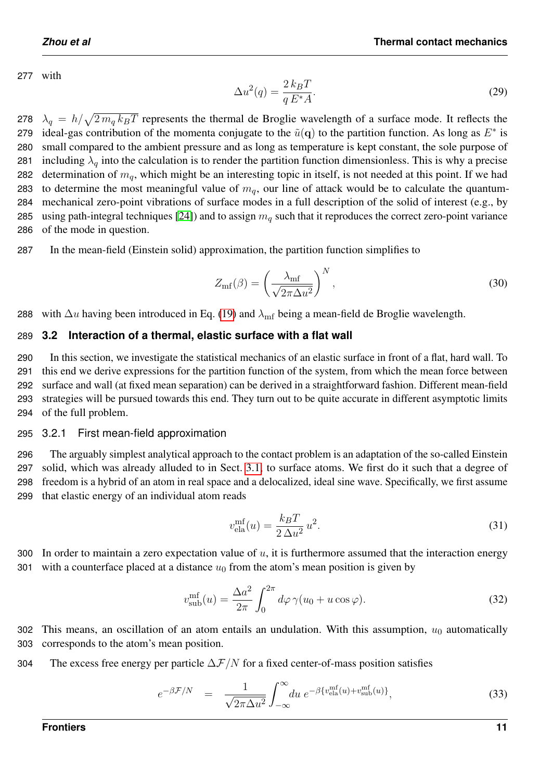277 with

<span id="page-10-0"></span>
$$
\Delta u^2(q) = \frac{2 k_B T}{q E^* A}.
$$
\n(29)

278  $\lambda_q = h/\sqrt{2 m_q k_B T}$  represents the thermal de Broglie wavelength of a surface mode. It reflects the 279 ideal-gas contribution of the momenta conjugate to the  $\tilde{u}(\mathbf{q})$  to the partition function. As long as  $E^*$  is 280 small compared to the ambient pressure and as long as temperature is kept constant, the sole purpose of 281 including  $\lambda_a$  into the calculation is to render the partition function dimensionless. This is why a precise 282 determination of  $m_q$ , which might be an interesting topic in itself, is not needed at this point. If we had 283 to determine the most meaningful value of  $m_q$ , our line of attack would be to calculate the quantum-284 mechanical zero-point vibrations of surface modes in a full description of the solid of interest (e.g., by 285 using path-integral techniques [\[24\]](#page-24-0)) and to assign  $m_q$  such that it reproduces the correct zero-point variance 286 of the mode in question.

287 In the mean-field (Einstein solid) approximation, the partition function simplifies to

$$
Z_{\rm mf}(\beta) = \left(\frac{\lambda_{\rm mf}}{\sqrt{2\pi\Delta u^2}}\right)^N,\tag{30}
$$

288 with  $\Delta u$  having been introduced in Eq. [\(19\)](#page-7-0) and  $\lambda_{\rm mf}$  being a mean-field de Broglie wavelength.

#### 289 **3.2 Interaction of a thermal, elastic surface with a flat wall**

 In this section, we investigate the statistical mechanics of an elastic surface in front of a flat, hard wall. To this end we derive expressions for the partition function of the system, from which the mean force between surface and wall (at fixed mean separation) can be derived in a straightforward fashion. Different mean-field strategies will be pursued towards this end. They turn out to be quite accurate in different asymptotic limits of the full problem.

295 3.2.1 First mean-field approximation

 The arguably simplest analytical approach to the contact problem is an adaptation of the so-called Einstein solid, which was already alluded to in Sect. [3.1,](#page-7-1) to surface atoms. We first do it such that a degree of freedom is a hybrid of an atom in real space and a delocalized, ideal sine wave. Specifically, we first assume that elastic energy of an individual atom reads

$$
v_{\text{ela}}^{\text{mf}}(u) = \frac{k_B T}{2\Delta u^2} u^2. \tag{31}
$$

300 In order to maintain a zero expectation value of  $u$ , it is furthermore assumed that the interaction energy 301 with a counterface placed at a distance  $u_0$  from the atom's mean position is given by

$$
v_{\text{sub}}^{\text{mf}}(u) = \frac{\Delta a^2}{2\pi} \int_0^{2\pi} d\varphi \,\gamma(u_0 + u\cos\varphi). \tag{32}
$$

302 This means, an oscillation of an atom entails an undulation. With this assumption,  $u_0$  automatically 303 corresponds to the atom's mean position.

304 The excess free energy per particle  $\Delta \mathcal{F}/N$  for a fixed center-of-mass position satisfies

<span id="page-10-1"></span>
$$
e^{-\beta \mathcal{F}/N} = \frac{1}{\sqrt{2\pi \Delta u^2}} \int_{-\infty}^{\infty} du \ e^{-\beta \{v_{\text{ela}}^{\text{mf}}(u) + v_{\text{sub}}^{\text{mf}}(u)\}}, \tag{33}
$$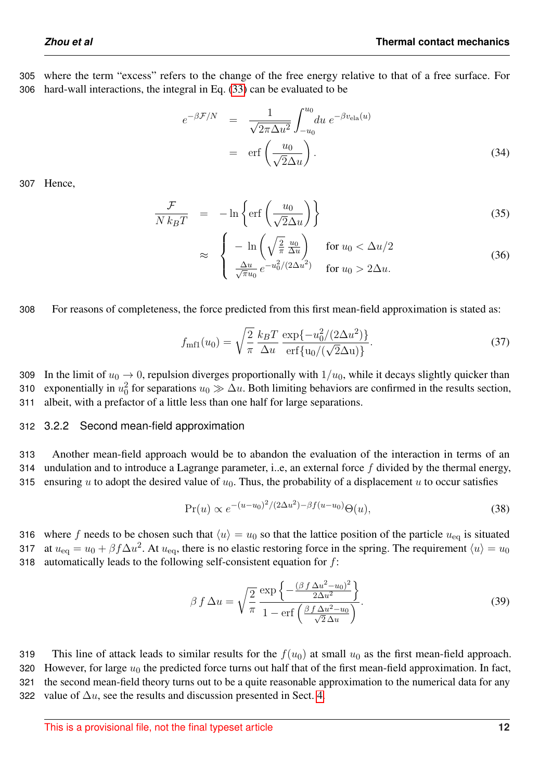305 where the term "excess" refers to the change of the free energy relative to that of a free surface. For 306 hard-wall interactions, the integral in Eq. [\(33\)](#page-10-1) can be evaluated to be

$$
e^{-\beta \mathcal{F}/N} = \frac{1}{\sqrt{2\pi \Delta u^2}} \int_{-u_0}^{u_0} du \, e^{-\beta v_{\text{ela}}(u)}
$$
  
= erf  $\left(\frac{u_0}{\sqrt{2}\Delta u}\right)$ . (34)

307 Hence,

<span id="page-11-1"></span>
$$
\frac{\mathcal{F}}{N k_B T} = -\ln\left\{\text{erf}\left(\frac{u_0}{\sqrt{2}\Delta u}\right)\right\} \tag{35}
$$

$$
\approx \begin{cases}\n-\ln\left(\sqrt{\frac{2}{\pi}}\frac{u_0}{\Delta u}\right) & \text{for } u_0 < \Delta u/2 \\
\frac{\Delta u}{\sqrt{\pi}u_0}e^{-u_0^2/(2\Delta u^2)} & \text{for } u_0 > 2\Delta u.\n\end{cases}
$$
\n(36)

308 For reasons of completeness, the force predicted from this first mean-field approximation is stated as:

$$
f_{\text{mfl}}(u_0) = \sqrt{\frac{2}{\pi}} \frac{k_B T}{\Delta u} \frac{\exp\{-u_0^2/(2\Delta u^2)\}}{\text{erf}\{u_0/(\sqrt{2}\Delta u)\}}.
$$
 (37)

309 In the limit of  $u_0 \to 0$ , repulsion diverges proportionally with  $1/u_0$ , while it decays slightly quicker than 310 exponentially in  $u_0^2$  for separations  $u_0 \gg \Delta u$ . Both limiting behaviors are confirmed in the results section, 311 albeit, with a prefactor of a little less than one half for large separations.

#### <span id="page-11-0"></span>312 3.2.2 Second mean-field approximation

313 Another mean-field approach would be to abandon the evaluation of the interaction in terms of an 314 undulation and to introduce a Lagrange parameter, i.e, an external force  $f$  divided by the thermal energy, 315 ensuring u to adopt the desired value of  $u_0$ . Thus, the probability of a displacement u to occur satisfies

$$
\Pr(u) \propto e^{-(u-u_0)^2/(2\Delta u^2) - \beta f(u-u_0)} \Theta(u),\tag{38}
$$

316 where f needs to be chosen such that  $\langle u \rangle = u_0$  so that the lattice position of the particle  $u_{\text{eq}}$  is situated 317 at  $u_{\text{eq}} = u_0 + \beta f \Delta u^2$ . At  $u_{\text{eq}}$ , there is no elastic restoring force in the spring. The requirement  $\langle u \rangle = u_0$ 318 automatically leads to the following self-consistent equation for f:

$$
\beta \int \Delta u = \sqrt{\frac{2}{\pi}} \frac{\exp\left\{-\frac{(\beta \int \Delta u^2 - u_0)^2}{2\Delta u^2}\right\}}{1 - \text{erf}\left(\frac{\beta \int \Delta u^2 - u_0}{\sqrt{2}\Delta u}\right)}.
$$
\n(39)

319 This line of attack leads to similar results for the  $f(u_0)$  at small  $u_0$  as the first mean-field approach. 320 However, for large  $u_0$  the predicted force turns out half that of the first mean-field approximation. In fact, 321 the second mean-field theory turns out to be a quite reasonable approximation to the numerical data for any 322 value of  $\Delta u$ , see the results and discussion presented in Sect. [4.](#page-15-0)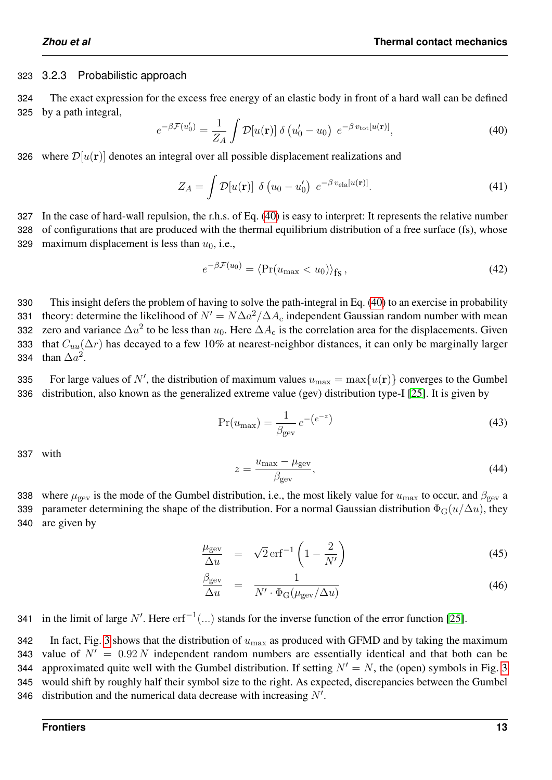#### 323 3.2.3 Probabilistic approach

324 The exact expression for the excess free energy of an elastic body in front of a hard wall can be defined 325 by a path integral,

<span id="page-12-0"></span>
$$
e^{-\beta \mathcal{F}(u_0')} = \frac{1}{Z_A} \int \mathcal{D}[u(\mathbf{r})] \delta\left(u_0' - u_0\right) e^{-\beta v_{\text{tot}}[u(\mathbf{r})]}, \tag{40}
$$

326 where  $\mathcal{D}[u(\mathbf{r})]$  denotes an integral over all possible displacement realizations and

$$
Z_A = \int \mathcal{D}[u(\mathbf{r})] \delta\left(u_0 - u'_0\right) e^{-\beta v_{\text{ela}}[u(\mathbf{r})]}.
$$
 (41)

327 In the case of hard-wall repulsion, the r.h.s. of Eq. [\(40\)](#page-12-0) is easy to interpret: It represents the relative number 328 of configurations that are produced with the thermal equilibrium distribution of a free surface (fs), whose 329 maximum displacement is less than  $u_0$ , i.e.,

$$
e^{-\beta \mathcal{F}(u_0)} = \langle \Pr(u_{\text{max}} < u_0) \rangle_{\text{fs}},\tag{42}
$$

330 This insight defers the problem of having to solve the path-integral in Eq. [\(40\)](#page-12-0) to an exercise in probability 331 theory: determine the likelihood of  $N' = N\Delta a^2/\Delta A_c$  independent Gaussian random number with mean 332 zero and variance  $\Delta u^2$  to be less than  $u_0$ . Here  $\Delta A_c$  is the correlation area for the displacements. Given 333 that  $C_{uu}(\Delta r)$  has decayed to a few 10% at nearest-neighbor distances, it can only be marginally larger 334 than  $\Delta a^2$ .

335 For large values of N', the distribution of maximum values  $u_{\text{max}} = \max\{u(\mathbf{r})\}$  converges to the Gumbel 336 distribution, also known as the generalized extreme value (gev) distribution type-I [\[25\]](#page-24-1). It is given by

$$
Pr(u_{\text{max}}) = \frac{1}{\beta_{\text{gev}}} e^{-(e^{-z})}
$$
\n(43)

337 with

$$
z = \frac{u_{\text{max}} - \mu_{\text{gev}}}{\beta_{\text{gev}}},\tag{44}
$$

338 where  $\mu_{\rm gev}$  is the mode of the Gumbel distribution, i.e., the most likely value for  $u_{\rm max}$  to occur, and  $\beta_{\rm gev}$  a 339 parameter determining the shape of the distribution. For a normal Gaussian distribution  $\Phi_G(u/\Delta u)$ , they 340 are given by

$$
\frac{\mu_{\text{gev}}}{\Delta u} = \sqrt{2} \,\text{erf}^{-1} \left( 1 - \frac{2}{N'} \right) \tag{45}
$$

$$
\frac{\beta_{\text{gev}}}{\Delta u} = \frac{1}{N' \cdot \Phi_{\text{G}}(\mu_{\text{gev}}/\Delta u)}
$$
(46)

341 in the limit of large N'. Here  $erf^{-1}(...)$  stands for the inverse function of the error function [\[25\]](#page-24-1).

342 In fact, Fig. [3](#page-13-0) shows that the distribution of  $u_{\text{max}}$  as produced with GFMD and by taking the maximum 343 value of  $N' = 0.92 N$  independent random numbers are essentially identical and that both can be 344 approximated quite well with the Gumbel distribution. If setting  $N' = N$ , the (open) symbols in Fig. [3](#page-13-0) 345 would shift by roughly half their symbol size to the right. As expected, discrepancies between the Gumbel 346 distribution and the numerical data decrease with increasing  $N'$ .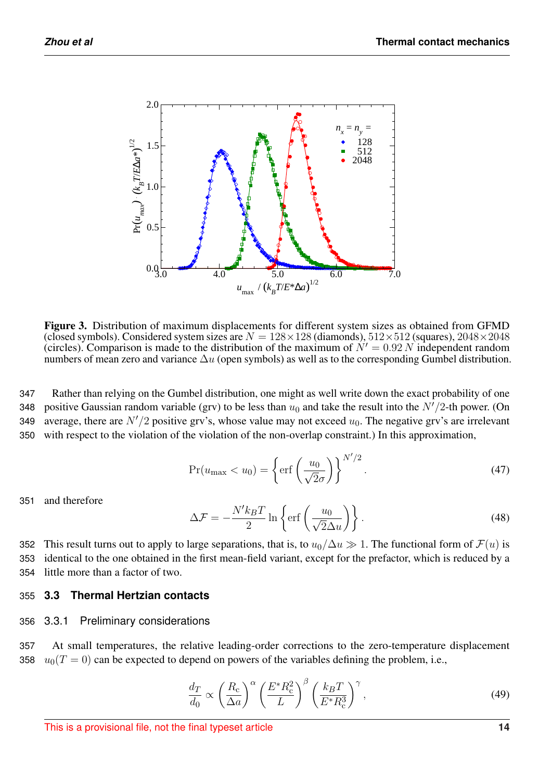<span id="page-13-0"></span>

Figure 3. Distribution of maximum displacements for different system sizes as obtained from GFMD (closed symbols). Considered system sizes are  $N = 128 \times 128$  (diamonds),  $512 \times 512$  (squares),  $2048 \times 2048$ (circles). Comparison is made to the distribution of the maximum of  $N' = 0.92 N$  independent random numbers of mean zero and variance  $\Delta u$  (open symbols) as well as to the corresponding Gumbel distribution.

347 Rather than relying on the Gumbel distribution, one might as well write down the exact probability of one 348 positive Gaussian random variable (grv) to be less than  $u_0$  and take the result into the  $N'/2$ -th power. (On 349 average, there are  $N'/2$  positive grv's, whose value may not exceed  $u_0$ . The negative grv's are irrelevant 350 with respect to the violation of the violation of the non-overlap constraint.) In this approximation,

$$
Pr(u_{\text{max}} < u_0) = \left\{ \text{erf}\left(\frac{u_0}{\sqrt{2}\sigma}\right) \right\}^{N'/2}.\tag{47}
$$

351 and therefore

$$
\Delta \mathcal{F} = -\frac{N' k_B T}{2} \ln \left\{ \text{erf}\left(\frac{u_0}{\sqrt{2}\Delta u}\right) \right\}.
$$
\n(48)

352 This result turns out to apply to large separations, that is, to  $u_0/\Delta u \gg 1$ . The functional form of  $\mathcal{F}(u)$  is 353 identical to the one obtained in the first mean-field variant, except for the prefactor, which is reduced by a 354 little more than a factor of two.

## 355 **3.3 Thermal Hertzian contacts**

## 356 3.3.1 Preliminary considerations

357 At small temperatures, the relative leading-order corrections to the zero-temperature displacement 358  $u_0(T = 0)$  can be expected to depend on powers of the variables defining the problem, i.e.,

<span id="page-13-1"></span>
$$
\frac{d_T}{d_0} \propto \left(\frac{R_c}{\Delta a}\right)^{\alpha} \left(\frac{E^* R_c^2}{L}\right)^{\beta} \left(\frac{k_B T}{E^* R_c^3}\right)^{\gamma},\tag{49}
$$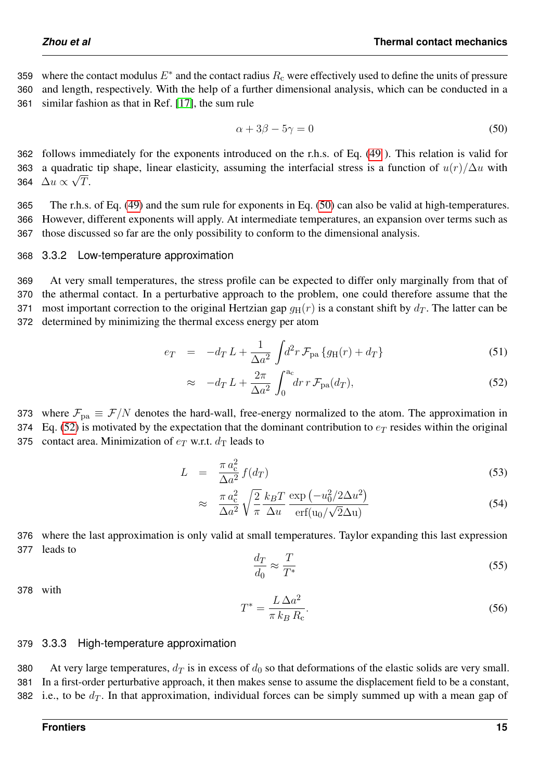359 where the contact modulus  $E^*$  and the contact radius  $R_c$  were effectively used to define the units of pressure 360 and length, respectively. With the help of a further dimensional analysis, which can be conducted in a 361 similar fashion as that in Ref. [\[17\]](#page-23-11), the sum rule

<span id="page-14-0"></span>
$$
\alpha + 3\beta - 5\gamma = 0 \tag{50}
$$

362 follows immediately for the exponents introduced on the r.h.s. of Eq. [\(49](#page-13-1) ). This relation is valid for 363 a quadratic tip shape, linear elasticity, assuming the interfacial stress is a function of  $u(r)/\Delta u$  with 364  $\Delta u \propto \sqrt{T}$ .

365 The r.h.s. of Eq. [\(49\)](#page-13-1) and the sum rule for exponents in Eq. [\(50\)](#page-14-0) can also be valid at high-temperatures. 366 However, different exponents will apply. At intermediate temperatures, an expansion over terms such as 367 those discussed so far are the only possibility to conform to the dimensional analysis.

#### <span id="page-14-2"></span>368 3.3.2 Low-temperature approximation

 At very small temperatures, the stress profile can be expected to differ only marginally from that of the athermal contact. In a perturbative approach to the problem, one could therefore assume that the 371 most important correction to the original Hertzian gap  $g_H(r)$  is a constant shift by  $d_T$ . The latter can be determined by minimizing the thermal excess energy per atom

<span id="page-14-1"></span>
$$
e_T = -d_T L + \frac{1}{\Delta a^2} \int d^2 r \, \mathcal{F}_{\text{pa}} \{ g_H(r) + d_T \} \tag{51}
$$

$$
\approx -d_T L + \frac{2\pi}{\Delta a^2} \int_0^{a_c} dr \, r \, \mathcal{F}_{\text{pa}}(d_T), \tag{52}
$$

373 where  $\mathcal{F}_{pa} \equiv \mathcal{F}/N$  denotes the hard-wall, free-energy normalized to the atom. The approximation in 374 Eq. [\(52\)](#page-14-1) is motivated by the expectation that the dominant contribution to  $e_T$  resides within the original 375 contact area. Minimization of  $e_T$  w.r.t.  $d_T$  leads to

$$
L = \frac{\pi a_{\rm c}^2}{\Delta a^2} f(d_T) \tag{53}
$$

$$
\approx \frac{\pi a_{\rm c}^2}{\Delta a^2} \sqrt{\frac{2}{\pi}} \frac{k_B T}{\Delta u} \frac{\exp\left(-u_0^2 / 2\Delta u^2\right)}{\operatorname{erf}(u_0 / \sqrt{2}\Delta u)}
$$
(54)

376 where the last approximation is only valid at small temperatures. Taylor expanding this last expression 377 leads to

$$
\frac{d_T}{d_0} \approx \frac{T}{T^*} \tag{55}
$$

378 with

$$
T^* = \frac{L\,\Delta a^2}{\pi \, k_B \, R_c}.\tag{56}
$$

#### 379 3.3.3 High-temperature approximation

380 At very large temperatures,  $d_T$  is in excess of  $d_0$  so that deformations of the elastic solids are very small. 381 In a first-order perturbative approach, it then makes sense to assume the displacement field to be a constant, 382 i.e., to be  $d_T$ . In that approximation, individual forces can be simply summed up with a mean gap of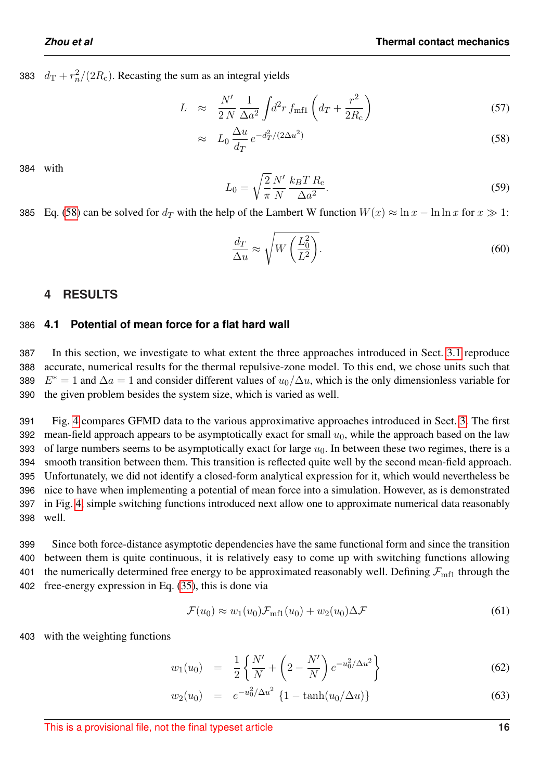383  $d_{\rm T} + r_n^2/(2R_{\rm c})$ . Recasting the sum as an integral yields

<span id="page-15-1"></span>
$$
L \approx \frac{N'}{2N} \frac{1}{\Delta a^2} \int d^2 r \, f_{\text{mfl}} \left( d_T + \frac{r^2}{2R_c} \right) \tag{57}
$$

$$
\approx L_0 \frac{\Delta u}{d_T} e^{-d_T^2/(2\Delta u^2)} \tag{58}
$$

384 with

$$
L_0 = \sqrt{\frac{2}{\pi}} \frac{N'}{N} \frac{k_B T R_c}{\Delta a^2}.
$$
\n<sup>(59)</sup>

385 Eq. [\(58\)](#page-15-1) can be solved for  $d_T$  with the help of the Lambert W function  $W(x) \approx \ln x - \ln \ln x$  for  $x \gg 1$ :

<span id="page-15-3"></span>
$$
\frac{d_T}{\Delta u} \approx \sqrt{W\left(\frac{L_0^2}{L^2}\right)}.\tag{60}
$$

## <span id="page-15-0"></span>**4 RESULTS**

## 386 **4.1 Potential of mean force for a flat hard wall**

 In this section, we investigate to what extent the three approaches introduced in Sect. [3.1](#page-7-1) reproduce accurate, numerical results for the thermal repulsive-zone model. To this end, we chose units such that  $E^* = 1$  and  $\Delta a = 1$  and consider different values of  $u_0/\Delta u$ , which is the only dimensionless variable for the given problem besides the system size, which is varied as well.

 Fig. [4](#page-16-0) compares GFMD data to the various approximative approaches introduced in Sect. [3.](#page-7-2) The first 392 mean-field approach appears to be asymptotically exact for small  $u_0$ , while the approach based on the law 393 of large numbers seems to be asymptotically exact for large  $u_0$ . In between these two regimes, there is a smooth transition between them. This transition is reflected quite well by the second mean-field approach. Unfortunately, we did not identify a closed-form analytical expression for it, which would nevertheless be nice to have when implementing a potential of mean force into a simulation. However, as is demonstrated in Fig. [4,](#page-16-0) simple switching functions introduced next allow one to approximate numerical data reasonably 398 well.

 Since both force-distance asymptotic dependencies have the same functional form and since the transition between them is quite continuous, it is relatively easy to come up with switching functions allowing 401 the numerically determined free energy to be approximated reasonably well. Defining  $\mathcal{F}_{\text{mf}}$  through the free-energy expression in Eq. [\(35\)](#page-11-1), this is done via

<span id="page-15-2"></span>
$$
\mathcal{F}(u_0) \approx w_1(u_0) \mathcal{F}_{\text{mfl}}(u_0) + w_2(u_0) \Delta \mathcal{F}
$$
\n(61)

403 with the weighting functions

$$
w_1(u_0) = \frac{1}{2} \left\{ \frac{N'}{N} + \left( 2 - \frac{N'}{N} \right) e^{-u_0^2 / \Delta u^2} \right\}
$$
 (62)

$$
w_2(u_0) = e^{-u_0^2/\Delta u^2} \left\{ 1 - \tanh(u_0/\Delta u) \right\}
$$
 (63)

This is a provisional file, not the final typeset article **16**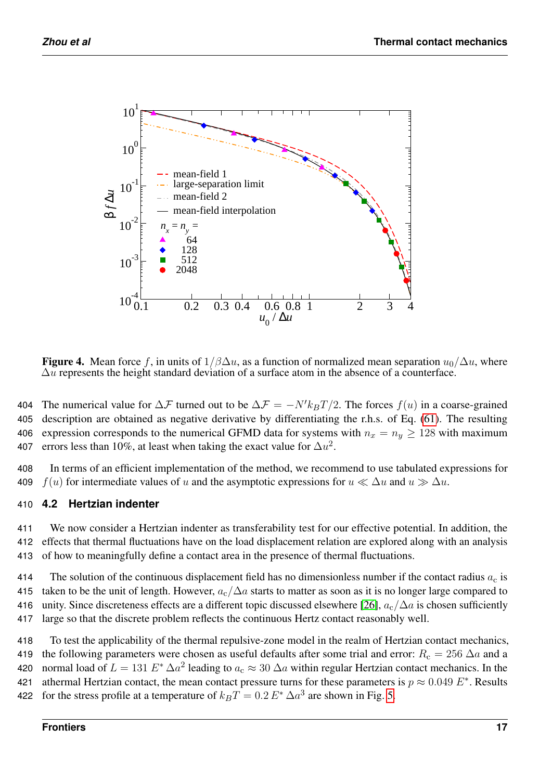<span id="page-16-0"></span>

Figure 4. Mean force f, in units of  $1/\beta\Delta u$ , as a function of normalized mean separation  $u_0/\Delta u$ , where  $\Delta u$  represents the height standard deviation of a surface atom in the absence of a counterface.

404 The numerical value for  $\Delta \mathcal{F}$  turned out to be  $\Delta \mathcal{F} = -N' k_B T/2$ . The forces  $f(u)$  in a coarse-grained 405 description are obtained as negative derivative by differentiating the r.h.s. of Eq. [\(61\)](#page-15-2). The resulting 406 expression corresponds to the numerical GFMD data for systems with  $n_x = n_y \ge 128$  with maximum 407 errors less than 10%, at least when taking the exact value for  $\Delta u^2$ .

408 In terms of an efficient implementation of the method, we recommend to use tabulated expressions for 409 f(u) for intermediate values of u and the asymptotic expressions for  $u \ll \Delta u$  and  $u \gg \Delta u$ .

## 410 **4.2 Hertzian indenter**

411 We now consider a Hertzian indenter as transferability test for our effective potential. In addition, the 412 effects that thermal fluctuations have on the load displacement relation are explored along with an analysis 413 of how to meaningfully define a contact area in the presence of thermal fluctuations.

414 The solution of the continuous displacement field has no dimensionless number if the contact radius  $a_c$  is 415 taken to be the unit of length. However,  $a_c/\Delta a$  starts to matter as soon as it is no longer large compared to 416 unity. Since discreteness effects are a different topic discussed elsewhere [\[26\]](#page-24-2),  $a_c/\Delta a$  is chosen sufficiently 417 large so that the discrete problem reflects the continuous Hertz contact reasonably well.

418 To test the applicability of the thermal repulsive-zone model in the realm of Hertzian contact mechanics, 419 the following parameters were chosen as useful defaults after some trial and error:  $R_c = 256 \Delta a$  and a 420 normal load of  $L = 131 E^* \Delta a^2$  leading to  $a_c \approx 30 \Delta a$  within regular Hertzian contact mechanics. In the 421 athermal Hertzian contact, the mean contact pressure turns for these parameters is  $p \approx 0.049 E^*$ . Results 422 for the stress profile at a temperature of  $k_B T = 0.2 E^* \Delta a^3$  are shown in Fig. [5.](#page-17-0)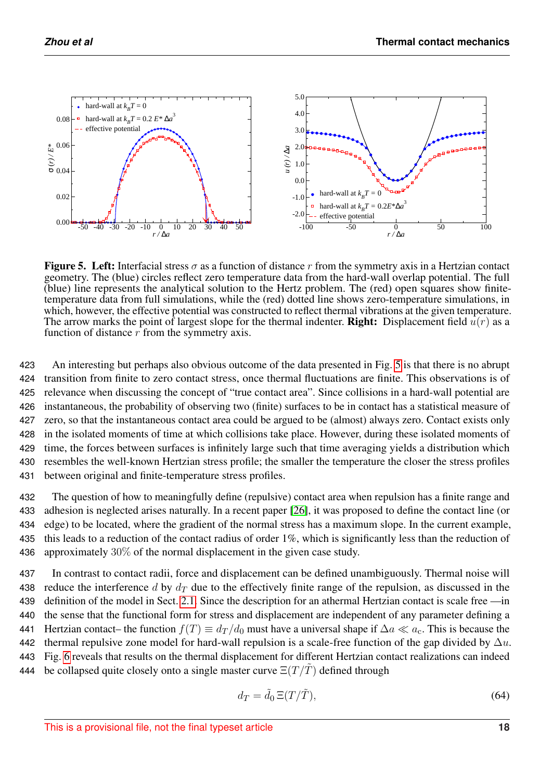<span id="page-17-0"></span>

Figure 5. Left: Interfacial stress  $\sigma$  as a function of distance r from the symmetry axis in a Hertzian contact geometry. The (blue) circles reflect zero temperature data from the hard-wall overlap potential. The full (blue) line represents the analytical solution to the Hertz problem. The (red) open squares show finitetemperature data from full simulations, while the (red) dotted line shows zero-temperature simulations, in which, however, the effective potential was constructed to reflect thermal vibrations at the given temperature. The arrow marks the point of largest slope for the thermal indenter. **Right:** Displacement field  $\bar{u}(r)$  as a function of distance  $r$  from the symmetry axis.

 An interesting but perhaps also obvious outcome of the data presented in Fig. [5](#page-17-0) is that there is no abrupt transition from finite to zero contact stress, once thermal fluctuations are finite. This observations is of relevance when discussing the concept of "true contact area". Since collisions in a hard-wall potential are instantaneous, the probability of observing two (finite) surfaces to be in contact has a statistical measure of zero, so that the instantaneous contact area could be argued to be (almost) always zero. Contact exists only in the isolated moments of time at which collisions take place. However, during these isolated moments of time, the forces between surfaces is infinitely large such that time averaging yields a distribution which resembles the well-known Hertzian stress profile; the smaller the temperature the closer the stress profiles between original and finite-temperature stress profiles.

 The question of how to meaningfully define (repulsive) contact area when repulsion has a finite range and adhesion is neglected arises naturally. In a recent paper [\[26\]](#page-24-2), it was proposed to define the contact line (or edge) to be located, where the gradient of the normal stress has a maximum slope. In the current example, 435 this leads to a reduction of the contact radius of order 1%, which is significantly less than the reduction of approximately 30% of the normal displacement in the given case study.

437 In contrast to contact radii, force and displacement can be defined unambiguously. Thermal noise will 438 reduce the interference d by  $d<sub>T</sub>$  due to the effectively finite range of the repulsion, as discussed in the 439 definition of the model in Sect. [2.1.](#page-1-0) Since the description for an athermal Hertzian contact is scale free —in 440 the sense that the functional form for stress and displacement are independent of any parameter defining a 441 Hertzian contact– the function  $f(T) \equiv d_T/d_0$  must have a universal shape if  $\Delta a \ll a_c$ . This is because the 442 thermal repulsive zone model for hard-wall repulsion is a scale-free function of the gap divided by  $\Delta u$ . 443 Fig. [6](#page-18-0) reveals that results on the thermal displacement for different Hertzian contact realizations can indeed 444 be collapsed quite closely onto a single master curve  $\Xi(T/\tilde{T})$  defined through

<span id="page-17-1"></span>
$$
d_T = \tilde{d}_0 \, \Xi(T/\tilde{T}),\tag{64}
$$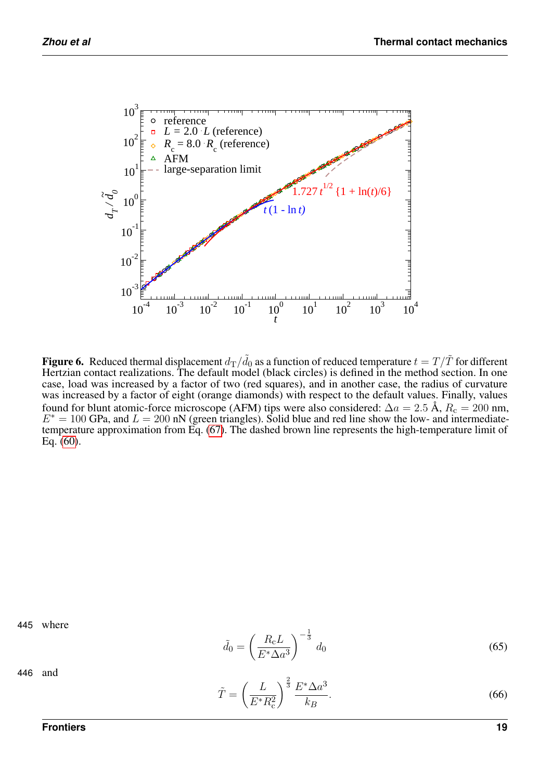<span id="page-18-0"></span>

**Figure 6.** Reduced thermal displacement  $d_{\rm T}/\tilde{d}_0$  as a function of reduced temperature  $t=T/\tilde{T}$  for different Hertzian contact realizations. The default model (black circles) is defined in the method section. In one case, load was increased by a factor of two (red squares), and in another case, the radius of curvature was increased by a factor of eight (orange diamonds) with respect to the default values. Finally, values found for blunt atomic-force microscope (AFM) tips were also considered:  $\Delta a = 2.5 \text{ Å}$ ,  $R_c = 200 \text{ nm}$ ,  $E^* = 100$  GPa, and  $L = 200$  nN (green triangles). Solid blue and red line show the low- and intermediatetemperature approximation from Eq. [\(67\)](#page-19-0). The dashed brown line represents the high-temperature limit of Eq. [\(60\)](#page-15-3).

445 where

$$
\tilde{d}_0 = \left(\frac{R_{\rm c}L}{E^*\Delta a^3}\right)^{-\frac{1}{3}}d_0\tag{65}
$$

<span id="page-18-1"></span>
$$
\tilde{T} = \left(\frac{L}{E^* R_c^2}\right)^{\frac{2}{3}} \frac{E^* \Delta a^3}{k_B}.
$$
\n(66)

446 and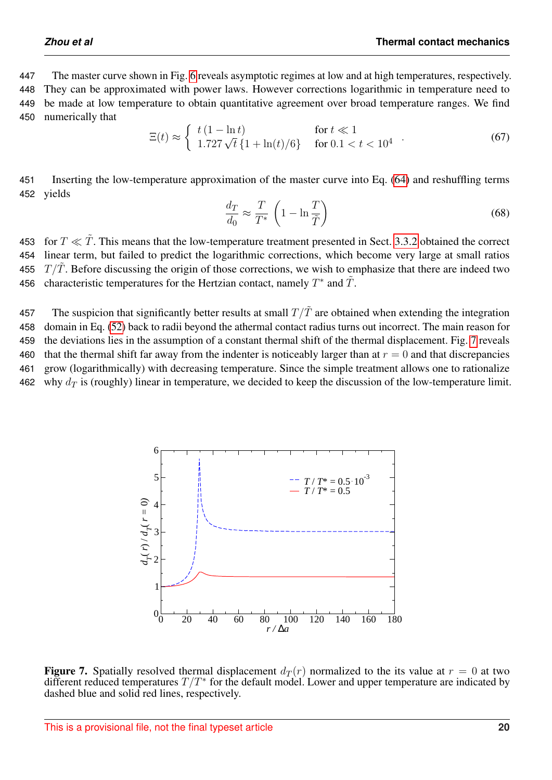The master curve shown in Fig. [6](#page-18-0) reveals asymptotic regimes at low and at high temperatures, respectively. They can be approximated with power laws. However corrections logarithmic in temperature need to be made at low temperature to obtain quantitative agreement over broad temperature ranges. We find numerically that

<span id="page-19-0"></span>
$$
\Xi(t) \approx \begin{cases} t(1 - \ln t) & \text{for } t \ll 1\\ 1.727\sqrt{t} \{1 + \ln(t)/6\} & \text{for } 0.1 < t < 10^4 \end{cases} . \tag{67}
$$

451 Inserting the low-temperature approximation of the master curve into Eq. [\(64\)](#page-17-1) and reshuffling terms 452 yields

$$
\frac{d_T}{d_0} \approx \frac{T}{T^*} \left( 1 - \ln \frac{T}{\tilde{T}} \right) \tag{68}
$$

453 for  $T \ll \tilde{T}$ . This means that the low-temperature treatment presented in Sect. [3.3.2](#page-14-2) obtained the correct 454 linear term, but failed to predict the logarithmic corrections, which become very large at small ratios 455  $T/\tilde{T}$ . Before discussing the origin of those corrections, we wish to emphasize that there are indeed two 456 characteristic temperatures for the Hertzian contact, namely  $T^*$  and  $\tilde{T}$ .

457 The suspicion that significantly better results at small  $T/\tilde{T}$  are obtained when extending the integration 458 domain in Eq. [\(52\)](#page-14-1) back to radii beyond the athermal contact radius turns out incorrect. The main reason for 459 the deviations lies in the assumption of a constant thermal shift of the thermal displacement. Fig. [7](#page-19-1) reveals 460 that the thermal shift far away from the indenter is noticeably larger than at  $r = 0$  and that discrepancies 461 grow (logarithmically) with decreasing temperature. Since the simple treatment allows one to rationalize 462 why  $d_{\mathcal{T}}$  is (roughly) linear in temperature, we decided to keep the discussion of the low-temperature limit.

<span id="page-19-1"></span>

Figure 7. Spatially resolved thermal displacement  $d_T(r)$  normalized to the its value at  $r = 0$  at two different reduced temperatures  $T/T^*$  for the default model. Lower and upper temperature are indicated by dashed blue and solid red lines, respectively.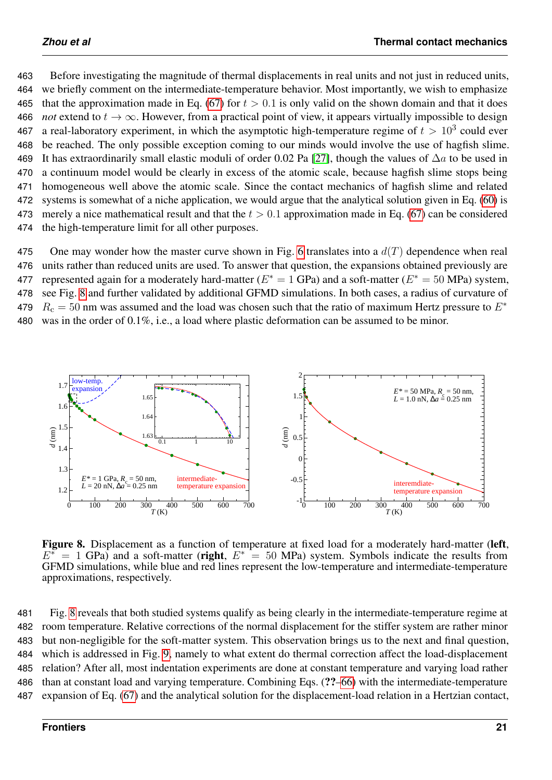Before investigating the magnitude of thermal displacements in real units and not just in reduced units, we briefly comment on the intermediate-temperature behavior. Most importantly, we wish to emphasize 465 that the approximation made in Eq. [\(67\)](#page-19-0) for  $t > 0.1$  is only valid on the shown domain and that it does *not* extend to  $t \to \infty$ . However, from a practical point of view, it appears virtually impossible to design 467 a real-laboratory experiment, in which the asymptotic high-temperature regime of  $t > 10^3$  could ever be reached. The only possible exception coming to our minds would involve the use of hagfish slime. 469 It has extraordinarily small elastic moduli of order 0.02 Pa [\[27\]](#page-24-3), though the values of  $\Delta a$  to be used in a continuum model would be clearly in excess of the atomic scale, because hagfish slime stops being homogeneous well above the atomic scale. Since the contact mechanics of hagfish slime and related systems is somewhat of a niche application, we would argue that the analytical solution given in Eq. [\(60\)](#page-15-3) is 473 merely a nice mathematical result and that the  $t > 0.1$  approximation made in Eq. [\(67\)](#page-19-0) can be considered the high-temperature limit for all other purposes.

475 One may wonder how the master curve shown in Fig. [6](#page-18-0) translates into a  $d(T)$  dependence when real 476 units rather than reduced units are used. To answer that question, the expansions obtained previously are 477 represented again for a moderately hard-matter ( $E^* = 1$  GPa) and a soft-matter ( $E^* = 50$  MPa) system, 478 see Fig. [8](#page-20-0) and further validated by additional GFMD simulations. In both cases, a radius of curvature of  $R_c = 50$  nm was assumed and the load was chosen such that the ratio of maximum Hertz pressure to  $E^*$ 479 480 was in the order of 0.1%, i.e., a load where plastic deformation can be assumed to be minor.

<span id="page-20-0"></span>

Figure 8. Displacement as a function of temperature at fixed load for a moderately hard-matter (left,  $E^* = 1$  GPa) and a soft-matter (right,  $E^* = 50$  MPa) system. Symbols indicate the results from GFMD simulations, while blue and red lines represent the low-temperature and intermediate-temperature approximations, respectively.

 Fig. [8](#page-20-0) reveals that both studied systems qualify as being clearly in the intermediate-temperature regime at room temperature. Relative corrections of the normal displacement for the stiffer system are rather minor but non-negligible for the soft-matter system. This observation brings us to the next and final question, which is addressed in Fig. [9,](#page-21-0) namely to what extent do thermal correction affect the load-displacement relation? After all, most indentation experiments are done at constant temperature and varying load rather than at constant load and varying temperature. Combining Eqs. (??[–66\)](#page-18-1) with the intermediate-temperature expansion of Eq. [\(67\)](#page-19-0) and the analytical solution for the displacement-load relation in a Hertzian contact,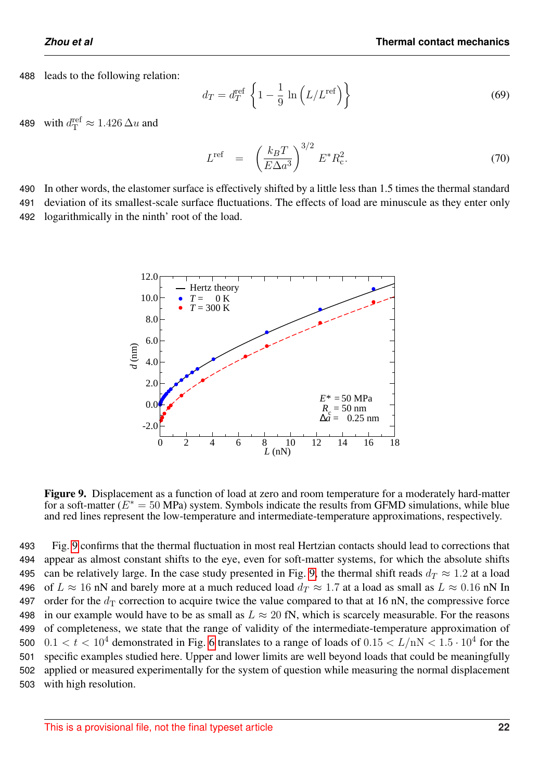488 leads to the following relation:

$$
d_T = d_T^{\text{ref}} \left\{ 1 - \frac{1}{9} \ln \left( L/L^{\text{ref}} \right) \right\} \tag{69}
$$

489 with  $d_{\text{T}}^{\text{ref}} \approx 1.426 \, \Delta u$  and

$$
L^{\text{ref}} = \left(\frac{k_B T}{E \Delta a^3}\right)^{3/2} E^* R_{\text{c}}^2. \tag{70}
$$

<span id="page-21-0"></span>490 In other words, the elastomer surface is effectively shifted by a little less than 1.5 times the thermal standard 491 deviation of its smallest-scale surface fluctuations. The effects of load are minuscule as they enter only 492 logarithmically in the ninth' root of the load.



Figure 9. Displacement as a function of load at zero and room temperature for a moderately hard-matter for a soft-matter ( $E^* = 50$  MPa) system. Symbols indicate the results from GFMD simulations, while blue and red lines represent the low-temperature and intermediate-temperature approximations, respectively.

 Fig. [9](#page-21-0) confirms that the thermal fluctuation in most real Hertzian contacts should lead to corrections that appear as almost constant shifts to the eye, even for soft-matter systems, for which the absolute shifts 495 can be relatively large. In the case study presented in Fig. [9,](#page-21-0) the thermal shift reads  $d_T \approx 1.2$  at a load 496 of  $L \approx 16$  nN and barely more at a much reduced load  $d_T \approx 1.7$  at a load as small as  $L \approx 0.16$  nN In 497 order for the  $d<sub>T</sub>$  correction to acquire twice the value compared to that at 16 nN, the compressive force 498 in our example would have to be as small as  $L \approx 20$  fN, which is scarcely measurable. For the reasons of completeness, we state that the range of validity of the intermediate-temperature approximation of  $0.1 < t < 10^4$  demonstrated in Fig. [6](#page-18-0) translates to a range of loads of  $0.15 < L/mN < 1.5 \cdot 10^4$  for the specific examples studied here. Upper and lower limits are well beyond loads that could be meaningfully applied or measured experimentally for the system of question while measuring the normal displacement with high resolution.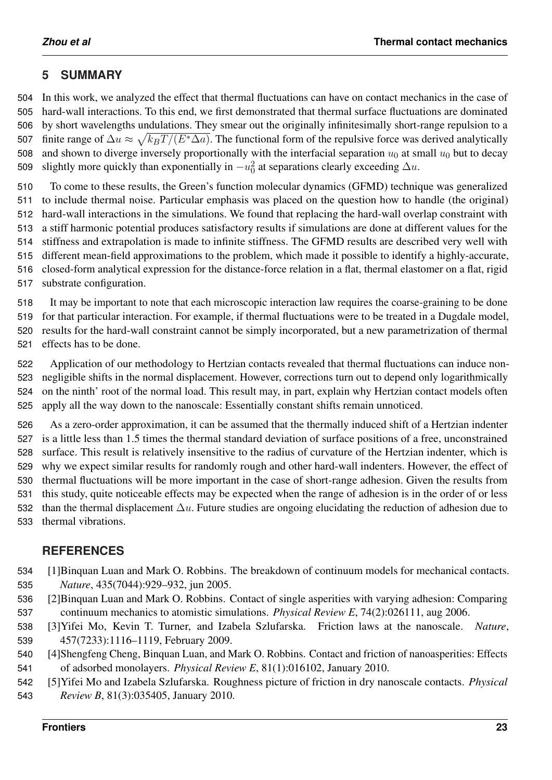# **5 SUMMARY**

 In this work, we analyzed the effect that thermal fluctuations can have on contact mechanics in the case of hard-wall interactions. To this end, we first demonstrated that thermal surface fluctuations are dominated by short wavelengths undulations. They smear out the originally infinitesimally short-range repulsion to a 507 finite range of  $\Delta u \approx \sqrt{k_B T/(E^* \Delta a)}$ . The functional form of the repulsive force was derived analytically 508 and shown to diverge inversely proportionally with the interfacial separation  $u_0$  at small  $u_0$  but to decay 509 slightly more quickly than exponentially in  $-u_0^2$  at separations clearly exceeding  $\Delta u$ .

 To come to these results, the Green's function molecular dynamics (GFMD) technique was generalized to include thermal noise. Particular emphasis was placed on the question how to handle (the original) hard-wall interactions in the simulations. We found that replacing the hard-wall overlap constraint with a stiff harmonic potential produces satisfactory results if simulations are done at different values for the stiffness and extrapolation is made to infinite stiffness. The GFMD results are described very well with different mean-field approximations to the problem, which made it possible to identify a highly-accurate, closed-form analytical expression for the distance-force relation in a flat, thermal elastomer on a flat, rigid substrate configuration.

 It may be important to note that each microscopic interaction law requires the coarse-graining to be done for that particular interaction. For example, if thermal fluctuations were to be treated in a Dugdale model, results for the hard-wall constraint cannot be simply incorporated, but a new parametrization of thermal effects has to be done.

 Application of our methodology to Hertzian contacts revealed that thermal fluctuations can induce non- negligible shifts in the normal displacement. However, corrections turn out to depend only logarithmically on the ninth' root of the normal load. This result may, in part, explain why Hertzian contact models often apply all the way down to the nanoscale: Essentially constant shifts remain unnoticed.

 As a zero-order approximation, it can be assumed that the thermally induced shift of a Hertzian indenter is a little less than 1.5 times the thermal standard deviation of surface positions of a free, unconstrained surface. This result is relatively insensitive to the radius of curvature of the Hertzian indenter, which is why we expect similar results for randomly rough and other hard-wall indenters. However, the effect of thermal fluctuations will be more important in the case of short-range adhesion. Given the results from this study, quite noticeable effects may be expected when the range of adhesion is in the order of or less 532 than the thermal displacement  $\Delta u$ . Future studies are ongoing elucidating the reduction of adhesion due to thermal vibrations.

# <span id="page-22-0"></span>**REFERENCES**

- [1]Binquan Luan and Mark O. Robbins. The breakdown of continuum models for mechanical contacts. *Nature*, 435(7044):929–932, jun 2005.
- <span id="page-22-1"></span> [2]Binquan Luan and Mark O. Robbins. Contact of single asperities with varying adhesion: Comparing continuum mechanics to atomistic simulations. *Physical Review E*, 74(2):026111, aug 2006.
- <span id="page-22-2"></span> [3]Yifei Mo, Kevin T. Turner, and Izabela Szlufarska. Friction laws at the nanoscale. *Nature*, 457(7233):1116–1119, February 2009.
- <span id="page-22-3"></span> [4]Shengfeng Cheng, Binquan Luan, and Mark O. Robbins. Contact and friction of nanoasperities: Effects of adsorbed monolayers. *Physical Review E*, 81(1):016102, January 2010.
- <span id="page-22-4"></span> [5]Yifei Mo and Izabela Szlufarska. Roughness picture of friction in dry nanoscale contacts. *Physical Review B*, 81(3):035405, January 2010.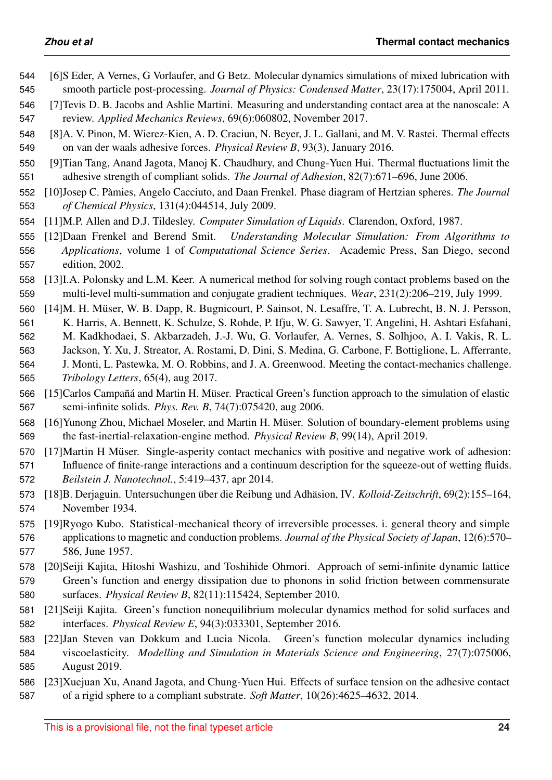- <span id="page-23-0"></span> [6]S Eder, A Vernes, G Vorlaufer, and G Betz. Molecular dynamics simulations of mixed lubrication with smooth particle post-processing. *Journal of Physics: Condensed Matter*, 23(17):175004, April 2011.
- <span id="page-23-1"></span> [7]Tevis D. B. Jacobs and Ashlie Martini. Measuring and understanding contact area at the nanoscale: A review. *Applied Mechanics Reviews*, 69(6):060802, November 2017.
- <span id="page-23-2"></span> [8]A. V. Pinon, M. Wierez-Kien, A. D. Craciun, N. Beyer, J. L. Gallani, and M. V. Rastei. Thermal effects on van der waals adhesive forces. *Physical Review B*, 93(3), January 2016.
- <span id="page-23-3"></span> [9]Tian Tang, Anand Jagota, Manoj K. Chaudhury, and Chung-Yuen Hui. Thermal fluctuations limit the adhesive strength of compliant solids. *The Journal of Adhesion*, 82(7):671–696, June 2006.
- <span id="page-23-4"></span> [10]Josep C. Pamies, Angelo Cacciuto, and Daan Frenkel. Phase diagram of Hertzian spheres. ` *The Journal of Chemical Physics*, 131(4):044514, July 2009.
- <span id="page-23-5"></span>[11]M.P. Allen and D.J. Tildesley. *Computer Simulation of Liquids*. Clarendon, Oxford, 1987.
- <span id="page-23-6"></span> [12]Daan Frenkel and Berend Smit. *Understanding Molecular Simulation: From Algorithms to Applications*, volume 1 of *Computational Science Series*. Academic Press, San Diego, second edition, 2002.
- <span id="page-23-7"></span> [13]I.A. Polonsky and L.M. Keer. A numerical method for solving rough contact problems based on the multi-level multi-summation and conjugate gradient techniques. *Wear*, 231(2):206–219, July 1999.
- <span id="page-23-8"></span>560 [14]M. H. Müser, W. B. Dapp, R. Bugnicourt, P. Sainsot, N. Lesaffre, T. A. Lubrecht, B. N. J. Persson, K. Harris, A. Bennett, K. Schulze, S. Rohde, P. Ifju, W. G. Sawyer, T. Angelini, H. Ashtari Esfahani, M. Kadkhodaei, S. Akbarzadeh, J.-J. Wu, G. Vorlaufer, A. Vernes, S. Solhjoo, A. I. Vakis, R. L. Jackson, Y. Xu, J. Streator, A. Rostami, D. Dini, S. Medina, G. Carbone, F. Bottiglione, L. Afferrante, J. Monti, L. Pastewka, M. O. Robbins, and J. A. Greenwood. Meeting the contact-mechanics challenge. *Tribology Letters*, 65(4), aug 2017.
- <span id="page-23-9"></span>566 [15]Carlos Campañá and Martin H. Müser. Practical Green's function approach to the simulation of elastic semi-infinite solids. *Phys. Rev. B*, 74(7):075420, aug 2006.
- <span id="page-23-10"></span>568 [16] Yunong Zhou, Michael Moseler, and Martin H. Müser. Solution of boundary-element problems using the fast-inertial-relaxation-engine method. *Physical Review B*, 99(14), April 2019.
- <span id="page-23-11"></span>570 [17]Martin H Müser. Single-asperity contact mechanics with positive and negative work of adhesion: Influence of finite-range interactions and a continuum description for the squeeze-out of wetting fluids. *Beilstein J. Nanotechnol.*, 5:419–437, apr 2014.
- <span id="page-23-12"></span>573 [18]B. Derjaguin. Untersuchungen über die Reibung und Adhäsion, IV. Kolloid-Zeitschrift, 69(2):155–164, November 1934.
- <span id="page-23-13"></span> [19]Ryogo Kubo. Statistical-mechanical theory of irreversible processes. i. general theory and simple applications to magnetic and conduction problems. *Journal of the Physical Society of Japan*, 12(6):570– 586, June 1957.
- <span id="page-23-14"></span> [20]Seiji Kajita, Hitoshi Washizu, and Toshihide Ohmori. Approach of semi-infinite dynamic lattice Green's function and energy dissipation due to phonons in solid friction between commensurate surfaces. *Physical Review B*, 82(11):115424, September 2010.
- <span id="page-23-15"></span> [21]Seiji Kajita. Green's function nonequilibrium molecular dynamics method for solid surfaces and interfaces. *Physical Review E*, 94(3):033301, September 2016.
- <span id="page-23-16"></span> [22]Jan Steven van Dokkum and Lucia Nicola. Green's function molecular dynamics including viscoelasticity. *Modelling and Simulation in Materials Science and Engineering*, 27(7):075006, August 2019.
- <span id="page-23-17"></span>[23]Xuejuan Xu, Anand Jagota, and Chung-Yuen Hui. Effects of surface tension on the adhesive contact
- of a rigid sphere to a compliant substrate. *Soft Matter*, 10(26):4625–4632, 2014.